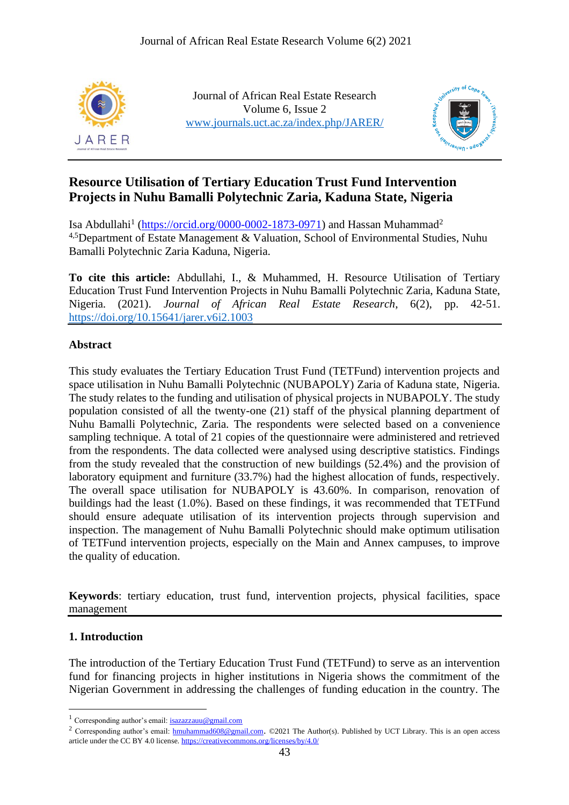

Journal of African Real Estate Research Volume 6, Issue 2 [www.journals.uct.ac.za/index.php/JARER/](http://www.journals.uct.ac.za/index.php/JARER/)



# **Resource Utilisation of Tertiary Education Trust Fund Intervention Projects in Nuhu Bamalli Polytechnic Zaria, Kaduna State, Nigeria**

Isa Abdullahi<sup>1</sup> [\(https://orcid.org/0000-0002-1873-0971\)](https://orcid.org/0000-0002-1873-0971) and Hassan Muhammad<sup>2</sup> 4,5Department of Estate Management & Valuation, School of Environmental Studies, Nuhu Bamalli Polytechnic Zaria Kaduna, Nigeria.

**To cite this article:** Abdullahi, I., & Muhammed, H. Resource Utilisation of Tertiary Education Trust Fund Intervention Projects in Nuhu Bamalli Polytechnic Zaria, Kaduna State, Nigeria. (2021). *Journal of African Real Estate Research*, 6(2), pp. 42-51. <https://doi.org/10.15641/jarer.v6i2.1003>

### **Abstract**

This study evaluates the Tertiary Education Trust Fund (TETFund) intervention projects and space utilisation in Nuhu Bamalli Polytechnic (NUBAPOLY) Zaria of Kaduna state, Nigeria. The study relates to the funding and utilisation of physical projects in NUBAPOLY. The study population consisted of all the twenty-one (21) staff of the physical planning department of Nuhu Bamalli Polytechnic, Zaria. The respondents were selected based on a convenience sampling technique. A total of 21 copies of the questionnaire were administered and retrieved from the respondents. The data collected were analysed using descriptive statistics. Findings from the study revealed that the construction of new buildings (52.4%) and the provision of laboratory equipment and furniture (33.7%) had the highest allocation of funds, respectively. The overall space utilisation for NUBAPOLY is 43.60%. In comparison, renovation of buildings had the least (1.0%). Based on these findings, it was recommended that TETFund should ensure adequate utilisation of its intervention projects through supervision and inspection. The management of Nuhu Bamalli Polytechnic should make optimum utilisation of TETFund intervention projects, especially on the Main and Annex campuses, to improve the quality of education.

**Keywords**: tertiary education, trust fund, intervention projects, physical facilities, space management

## **1. Introduction**

The introduction of the Tertiary Education Trust Fund (TETFund) to serve as an intervention fund for financing projects in higher institutions in Nigeria shows the commitment of the Nigerian Government in addressing the challenges of funding education in the country. The

<sup>&</sup>lt;sup>1</sup> Corresponding author's email: **[isazazzauu@gmail.com](mailto:isazazzauu@gmail.com)** 

<sup>&</sup>lt;sup>2</sup> Corresponding author's email: [hmuhammad608@gmail.com](mailto:hmuhammad608@gmail.com). ©2021 The Author(s). Published by UCT Library. This is an open access article under the CC BY 4.0 license.<https://creativecommons.org/licenses/by/4.0/>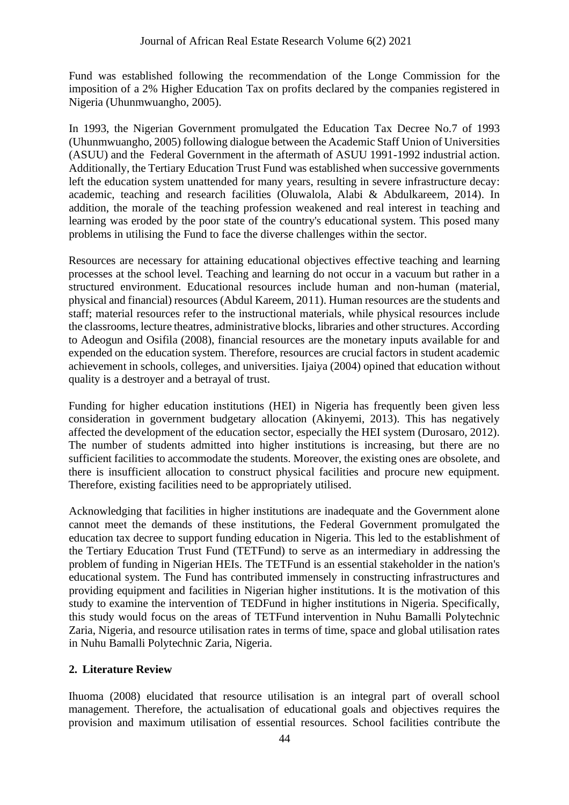Fund was established following the recommendation of the Longe Commission for the imposition of a 2% Higher Education Tax on profits declared by the companies registered in Nigeria (Uhunmwuangho, 2005).

In 1993, the Nigerian Government promulgated the Education Tax Decree No.7 of 1993 (Uhunmwuangho, 2005) following dialogue between the Academic Staff Union of Universities (ASUU) and the Federal Government in the aftermath of ASUU 1991-1992 industrial action. Additionally, the Tertiary Education Trust Fund was established when successive governments left the education system unattended for many years, resulting in severe infrastructure decay: academic, teaching and research facilities (Oluwalola, Alabi & Abdulkareem, 2014). In addition, the morale of the teaching profession weakened and real interest in teaching and learning was eroded by the poor state of the country's educational system. This posed many problems in utilising the Fund to face the diverse challenges within the sector.

Resources are necessary for attaining educational objectives effective teaching and learning processes at the school level. Teaching and learning do not occur in a vacuum but rather in a structured environment. Educational resources include human and non-human (material, physical and financial) resources (Abdul Kareem, 2011). Human resources are the students and staff; material resources refer to the instructional materials, while physical resources include the classrooms, lecture theatres, administrative blocks, libraries and other structures. According to Adeogun and Osifila (2008), financial resources are the monetary inputs available for and expended on the education system. Therefore, resources are crucial factors in student academic achievement in schools, colleges, and universities. Ijaiya (2004) opined that education without quality is a destroyer and a betrayal of trust.

Funding for higher education institutions (HEI) in Nigeria has frequently been given less consideration in government budgetary allocation (Akinyemi, 2013). This has negatively affected the development of the education sector, especially the HEI system (Durosaro, 2012). The number of students admitted into higher institutions is increasing, but there are no sufficient facilities to accommodate the students. Moreover, the existing ones are obsolete, and there is insufficient allocation to construct physical facilities and procure new equipment. Therefore, existing facilities need to be appropriately utilised.

Acknowledging that facilities in higher institutions are inadequate and the Government alone cannot meet the demands of these institutions, the Federal Government promulgated the education tax decree to support funding education in Nigeria. This led to the establishment of the Tertiary Education Trust Fund (TETFund) to serve as an intermediary in addressing the problem of funding in Nigerian HEIs. The TETFund is an essential stakeholder in the nation's educational system. The Fund has contributed immensely in constructing infrastructures and providing equipment and facilities in Nigerian higher institutions. It is the motivation of this study to examine the intervention of TEDFund in higher institutions in Nigeria. Specifically, this study would focus on the areas of TETFund intervention in Nuhu Bamalli Polytechnic Zaria, Nigeria, and resource utilisation rates in terms of time, space and global utilisation rates in Nuhu Bamalli Polytechnic Zaria, Nigeria.

## **2. Literature Review**

Ihuoma (2008) elucidated that resource utilisation is an integral part of overall school management. Therefore, the actualisation of educational goals and objectives requires the provision and maximum utilisation of essential resources. School facilities contribute the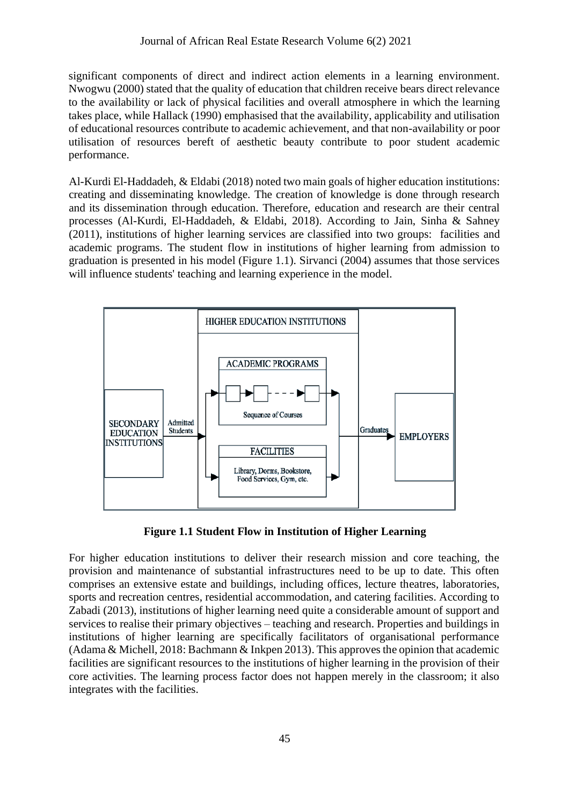significant components of direct and indirect action elements in a learning environment. Nwogwu (2000) stated that the quality of education that children receive bears direct relevance to the availability or lack of physical facilities and overall atmosphere in which the learning takes place, while Hallack (1990) emphasised that the availability, applicability and utilisation of educational resources contribute to academic achievement, and that non-availability or poor utilisation of resources bereft of aesthetic beauty contribute to poor student academic performance.

Al-Kurdi El-Haddadeh, & Eldabi (2018) noted two main goals of higher education institutions: creating and disseminating knowledge. The creation of knowledge is done through research and its dissemination through education. Therefore, education and research are their central processes (Al-Kurdi, El-Haddadeh, & Eldabi, 2018). According to Jain, Sinha & Sahney (2011), institutions of higher learning services are classified into two groups: facilities and academic programs. The student flow in institutions of higher learning from admission to graduation is presented in his model (Figure 1.1). Sirvanci (2004) assumes that those services will influence students' teaching and learning experience in the model.



**Figure 1.1 Student Flow in Institution of Higher Learning**

For higher education institutions to deliver their research mission and core teaching, the provision and maintenance of substantial infrastructures need to be up to date. This often comprises an extensive estate and buildings, including offices, lecture theatres, laboratories, sports and recreation centres, residential accommodation, and catering facilities. According to Zabadi (2013), institutions of higher learning need quite a considerable amount of support and services to realise their primary objectives – teaching and research. Properties and buildings in institutions of higher learning are specifically facilitators of organisational performance (Adama & Michell, 2018: Bachmann & Inkpen 2013). This approves the opinion that academic facilities are significant resources to the institutions of higher learning in the provision of their core activities. The learning process factor does not happen merely in the classroom; it also integrates with the facilities.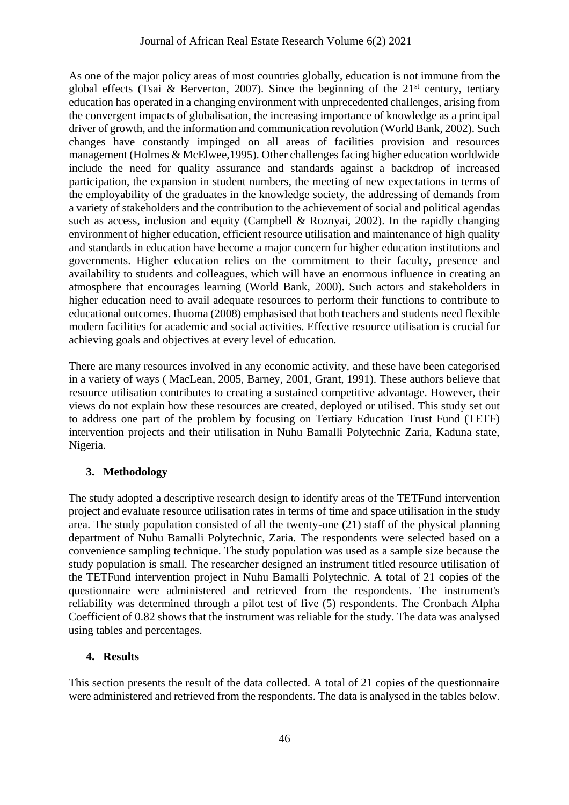As one of the major policy areas of most countries globally, education is not immune from the global effects (Tsai & Berverton, 2007). Since the beginning of the  $21<sup>st</sup>$  century, tertiary education has operated in a changing environment with unprecedented challenges, arising from the convergent impacts of globalisation, the increasing importance of knowledge as a principal driver of growth, and the information and communication revolution (World Bank, 2002). Such changes have constantly impinged on all areas of facilities provision and resources management (Holmes & McElwee,1995). Other challenges facing higher education worldwide include the need for quality assurance and standards against a backdrop of increased participation, the expansion in student numbers, the meeting of new expectations in terms of the employability of the graduates in the knowledge society, the addressing of demands from a variety of stakeholders and the contribution to the achievement of social and political agendas such as access, inclusion and equity (Campbell & Roznyai, 2002). In the rapidly changing environment of higher education, efficient resource utilisation and maintenance of high quality and standards in education have become a major concern for higher education institutions and governments. Higher education relies on the commitment to their faculty, presence and availability to students and colleagues, which will have an enormous influence in creating an atmosphere that encourages learning (World Bank, 2000). Such actors and stakeholders in higher education need to avail adequate resources to perform their functions to contribute to educational outcomes. Ihuoma (2008) emphasised that both teachers and students need flexible modern facilities for academic and social activities. Effective resource utilisation is crucial for achieving goals and objectives at every level of education.

There are many resources involved in any economic activity, and these have been categorised in a variety of ways ( MacLean, 2005, Barney, 2001, Grant, 1991). These authors believe that resource utilisation contributes to creating a sustained competitive advantage. However, their views do not explain how these resources are created, deployed or utilised. This study set out to address one part of the problem by focusing on Tertiary Education Trust Fund (TETF) intervention projects and their utilisation in Nuhu Bamalli Polytechnic Zaria, Kaduna state, Nigeria.

## **3. Methodology**

The study adopted a descriptive research design to identify areas of the TETFund intervention project and evaluate resource utilisation rates in terms of time and space utilisation in the study area. The study population consisted of all the twenty-one (21) staff of the physical planning department of Nuhu Bamalli Polytechnic, Zaria. The respondents were selected based on a convenience sampling technique. The study population was used as a sample size because the study population is small. The researcher designed an instrument titled resource utilisation of the TETFund intervention project in Nuhu Bamalli Polytechnic. A total of 21 copies of the questionnaire were administered and retrieved from the respondents. The instrument's reliability was determined through a pilot test of five (5) respondents. The Cronbach Alpha Coefficient of 0.82 shows that the instrument was reliable for the study. The data was analysed using tables and percentages.

## **4. Results**

This section presents the result of the data collected. A total of 21 copies of the questionnaire were administered and retrieved from the respondents. The data is analysed in the tables below.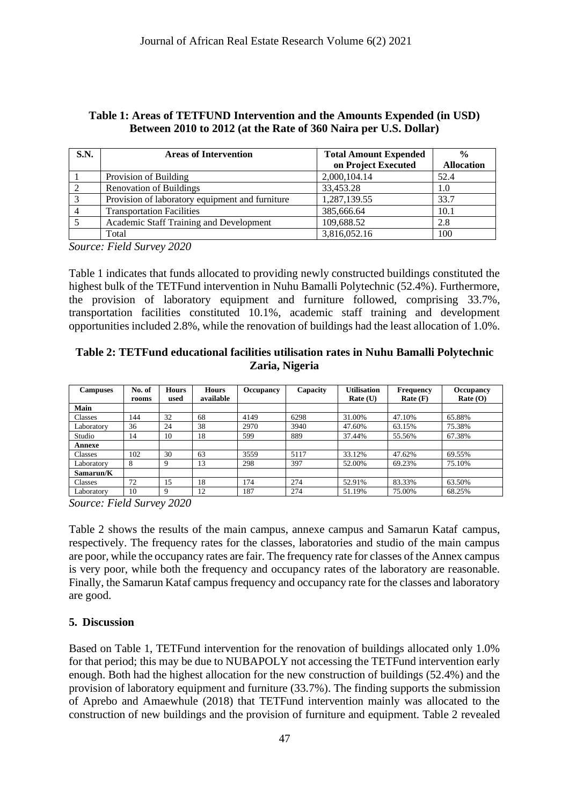### **Table 1: Areas of TETFUND Intervention and the Amounts Expended (in USD) Between 2010 to 2012 (at the Rate of 360 Naira per U.S. Dollar)**

| S.N. | <b>Areas of Intervention</b>                    | <b>Total Amount Expended</b> | $\frac{0}{0}$     |
|------|-------------------------------------------------|------------------------------|-------------------|
|      |                                                 | on Project Executed          | <b>Allocation</b> |
|      | Provision of Building                           | 2,000,104.14                 | 52.4              |
|      | <b>Renovation of Buildings</b>                  | 33,453.28                    | 1.0               |
|      | Provision of laboratory equipment and furniture | 1,287,139.55                 | 33.7              |
|      | <b>Transportation Facilities</b>                | 385,666.64                   | 10.1              |
|      | Academic Staff Training and Development         | 109,688.52                   | 2.8               |
|      | Total                                           | 3,816,052.16                 | 100               |

*Source: Field Survey 2020*

Table 1 indicates that funds allocated to providing newly constructed buildings constituted the highest bulk of the TETFund intervention in Nuhu Bamalli Polytechnic (52.4%). Furthermore, the provision of laboratory equipment and furniture followed, comprising 33.7%, transportation facilities constituted 10.1%, academic staff training and development opportunities included 2.8%, while the renovation of buildings had the least allocation of 1.0%.

#### **Table 2: TETFund educational facilities utilisation rates in Nuhu Bamalli Polytechnic Zaria, Nigeria**

| <b>Campuses</b> | No. of<br>rooms | <b>Hours</b><br>used | <b>Hours</b><br>available | <b>Occupancy</b> | Capacity | <b>Utilisation</b><br>Rate (U) | Frequency<br>Rate(F) | <b>Occupancy</b><br>Rate $(O)$ |
|-----------------|-----------------|----------------------|---------------------------|------------------|----------|--------------------------------|----------------------|--------------------------------|
| Main            |                 |                      |                           |                  |          |                                |                      |                                |
| Classes         | 144             | 32                   | 68                        | 4149             | 6298     | 31.00%                         | 47.10%               | 65.88%                         |
| Laboratory      | 36              | 24                   | 38                        | 2970             | 3940     | 47.60%                         | 63.15%               | 75.38%                         |
| Studio          | 14              | 10                   | 18                        | 599              | 889      | 37.44%                         | 55.56%               | 67.38%                         |
| Annexe          |                 |                      |                           |                  |          |                                |                      |                                |
| Classes         | 102             | 30                   | 63                        | 3559             | 5117     | 33.12%                         | 47.62%               | 69.55%                         |
| Laboratory      | 8               |                      | 13                        | 298              | 397      | 52.00%                         | 69.23%               | 75.10%                         |
| Samarun/K       |                 |                      |                           |                  |          |                                |                      |                                |
| Classes         | 72              | 15                   | 18                        | 174              | 274      | 52.91%                         | 83.33%               | 63.50%                         |
| Laboratorv      | 10              | $\Omega$             | 12                        | 187              | 274      | 51.19%                         | 75.00%               | 68.25%                         |

*Source: Field Survey 2020*

Table 2 shows the results of the main campus, annexe campus and Samarun Kataf campus, respectively. The frequency rates for the classes, laboratories and studio of the main campus are poor, while the occupancy rates are fair. The frequency rate for classes of the Annex campus is very poor, while both the frequency and occupancy rates of the laboratory are reasonable. Finally, the Samarun Kataf campus frequency and occupancy rate for the classes and laboratory are good.

### **5. Discussion**

Based on Table 1, TETFund intervention for the renovation of buildings allocated only 1.0% for that period; this may be due to NUBAPOLY not accessing the TETFund intervention early enough. Both had the highest allocation for the new construction of buildings (52.4%) and the provision of laboratory equipment and furniture (33.7%). The finding supports the submission of Aprebo and Amaewhule (2018) that TETFund intervention mainly was allocated to the construction of new buildings and the provision of furniture and equipment. Table 2 revealed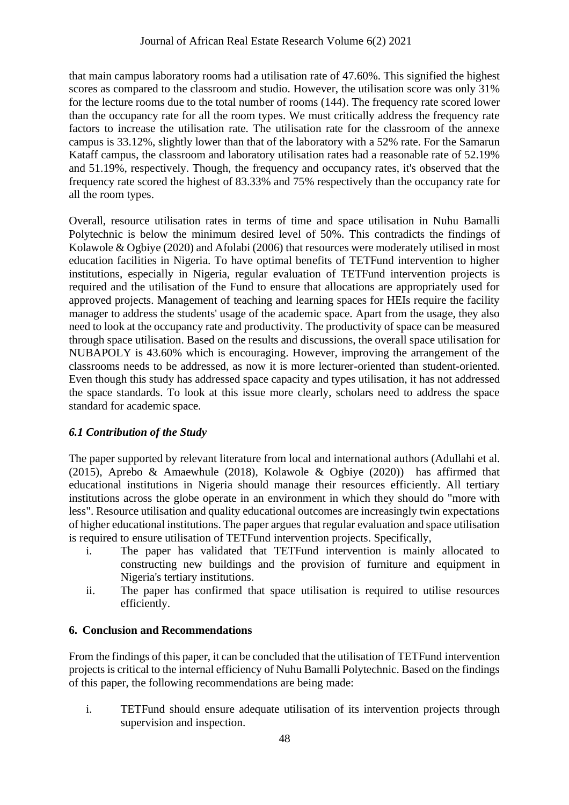that main campus laboratory rooms had a utilisation rate of 47.60%. This signified the highest scores as compared to the classroom and studio. However, the utilisation score was only 31% for the lecture rooms due to the total number of rooms (144). The frequency rate scored lower than the occupancy rate for all the room types. We must critically address the frequency rate factors to increase the utilisation rate. The utilisation rate for the classroom of the annexe campus is 33.12%, slightly lower than that of the laboratory with a 52% rate. For the Samarun Kataff campus, the classroom and laboratory utilisation rates had a reasonable rate of 52.19% and 51.19%, respectively. Though, the frequency and occupancy rates, it's observed that the frequency rate scored the highest of 83.33% and 75% respectively than the occupancy rate for all the room types.

Overall, resource utilisation rates in terms of time and space utilisation in Nuhu Bamalli Polytechnic is below the minimum desired level of 50%. This contradicts the findings of Kolawole & Ogbiye (2020) and Afolabi (2006) that resources were moderately utilised in most education facilities in Nigeria. To have optimal benefits of TETFund intervention to higher institutions, especially in Nigeria, regular evaluation of TETFund intervention projects is required and the utilisation of the Fund to ensure that allocations are appropriately used for approved projects. Management of teaching and learning spaces for HEIs require the facility manager to address the students' usage of the academic space. Apart from the usage, they also need to look at the occupancy rate and productivity. The productivity of space can be measured through space utilisation. Based on the results and discussions, the overall space utilisation for NUBAPOLY is 43.60% which is encouraging. However, improving the arrangement of the classrooms needs to be addressed, as now it is more lecturer-oriented than student-oriented. Even though this study has addressed space capacity and types utilisation, it has not addressed the space standards. To look at this issue more clearly, scholars need to address the space standard for academic space.

### *6.1 Contribution of the Study*

The paper supported by relevant literature from local and international authors (Adullahi et al. (2015), Aprebo & Amaewhule (2018), Kolawole & Ogbiye (2020)) has affirmed that educational institutions in Nigeria should manage their resources efficiently. All tertiary institutions across the globe operate in an environment in which they should do "more with less". Resource utilisation and quality educational outcomes are increasingly twin expectations of higher educational institutions. The paper argues that regular evaluation and space utilisation is required to ensure utilisation of TETFund intervention projects. Specifically,

- i. The paper has validated that TETFund intervention is mainly allocated to constructing new buildings and the provision of furniture and equipment in Nigeria's tertiary institutions.
- ii. The paper has confirmed that space utilisation is required to utilise resources efficiently.

### **6. Conclusion and Recommendations**

From the findings of this paper, it can be concluded that the utilisation of TETFund intervention projects is critical to the internal efficiency of Nuhu Bamalli Polytechnic. Based on the findings of this paper, the following recommendations are being made:

i. TETFund should ensure adequate utilisation of its intervention projects through supervision and inspection.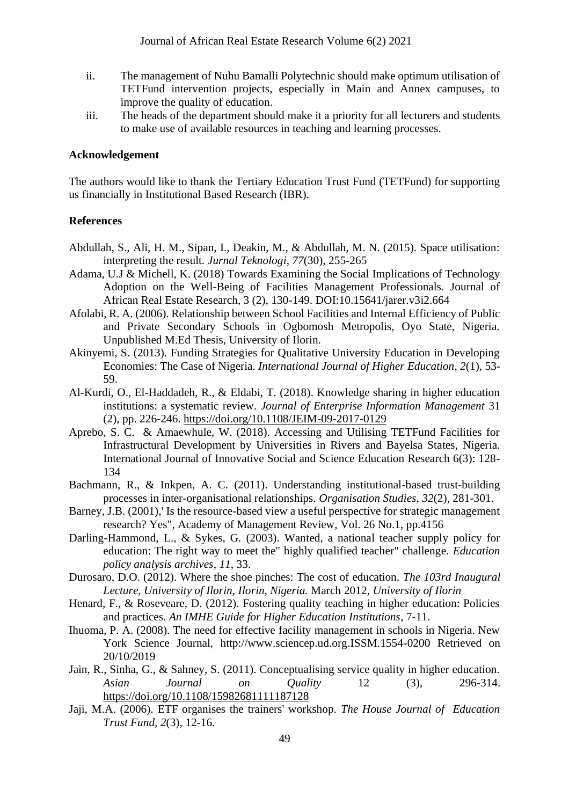- ii. The management of Nuhu Bamalli Polytechnic should make optimum utilisation of TETFund intervention projects, especially in Main and Annex campuses, to improve the quality of education.
- iii. The heads of the department should make it a priority for all lecturers and students to make use of available resources in teaching and learning processes.

#### **Acknowledgement**

The authors would like to thank the Tertiary Education Trust Fund (TETFund) for supporting us financially in Institutional Based Research (IBR).

#### **References**

- Abdullah, S., Ali, H. M., Sipan, I., Deakin, M., & Abdullah, M. N. (2015). Space utilisation: interpreting the result. *Jurnal Teknologi*, *77*(30), 255-265
- Adama, U.J & Michell, K. (2018) Towards Examining the Social Implications of Technology Adoption on the Well-Being of Facilities Management Professionals. Journal of African Real Estate Research, 3 (2), 130-149. DOI:10.15641/jarer.v3i2.664
- Afolabi, R. A. (2006). Relationship between School Facilities and Internal Efficiency of Public and Private Secondary Schools in Ogbomosh Metropolis, Oyo State, Nigeria. Unpublished M.Ed Thesis, University of Ilorin.
- Akinyemi, S. (2013). Funding Strategies for Qualitative University Education in Developing Economies: The Case of Nigeria. *International Journal of Higher Education*, *2*(1), 53- 59.
- Al-Kurdi, O., El-Haddadeh, R., & Eldabi, T. (2018). Knowledge sharing in higher education institutions: a systematic review. *Journal of Enterprise Information Management* 31 (2), pp. 226-246.<https://doi.org/10.1108/JEIM-09-2017-0129>
- Aprebo, S. C. & Amaewhule, W. (2018). Accessing and Utilising TETFund Facilities for Infrastructural Development by Universities in Rivers and Bayelsa States, Nigeria. International Journal of Innovative Social and Science Education Research 6(3): 128- 134
- Bachmann, R., & Inkpen, A. C. (2011). Understanding institutional-based trust-building processes in inter-organisational relationships. *Organisation Studies*, *32*(2), 281-301.
- Barney, J.B. (2001),' Is the resource-based view a useful perspective for strategic management research? Yes", Academy of Management Review, Vol. 26 No.1, pp.4156
- Darling-Hammond, L., & Sykes, G. (2003). Wanted, a national teacher supply policy for education: The right way to meet the" highly qualified teacher" challenge. *Education policy analysis archives*, *11*, 33.
- Durosaro, D.O. (2012). Where the shoe pinches: The cost of education. *The 103rd Inaugural Lecture, University of Ilorin, Ilorin, Nigeria.* March 2012, *University of Ilorin*
- Henard, F., & Roseveare, D. (2012). Fostering quality teaching in higher education: Policies and practices. *An IMHE Guide for Higher Education Institutions*, 7-11.
- Ihuoma, P. A. (2008). The need for effective facility management in schools in Nigeria. New York Science Journal, http://www.sciencep.ud.org.ISSM.1554-0200 Retrieved on 20/10/2019
- Jain, R., Sinha, G., & Sahney, S. (2011). Conceptualising service quality in higher education. *Asian Journal on Quality* 12 (3), 296-314. <https://doi.org/10.1108/15982681111187128>
- Jaji, M.A. (2006). ETF organises the trainers' workshop. *The House Journal of Education Trust Fund, 2*(3), 12-16.